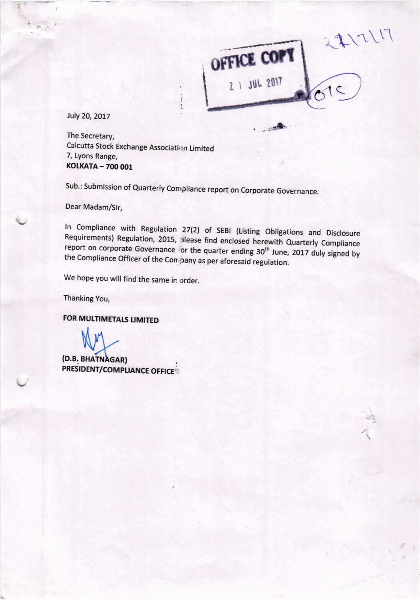

**SECTION** 

July 20, 2017

The Secretary, Calcutta Stock Exchange Association Limited 7, Lyons Range, **KOLKATA - 700 001** 

Sub.: Submission of Quarterly Compliance report on Corporate Governance.

İ

Dear Madam/Sir,

In Compliance with Regulation 27(2) of SEBI (Listing Obligations and Disclosure Requirements) Regulation, 2015, please find enclosed herewith Quarterly Compliance report on corporate Governance for the quarter ending 30<sup>th</sup> June, 2017 duly signed by the Compliance Officer of the Company as per aforesaid regulation.

We hope you will find the same in order.

Thanking You,

**FOR MULTIMETALS LIMITED** 

(D.B. BHATNAGAR) **PRESIDENT/COMPLIANCE OFFICER**